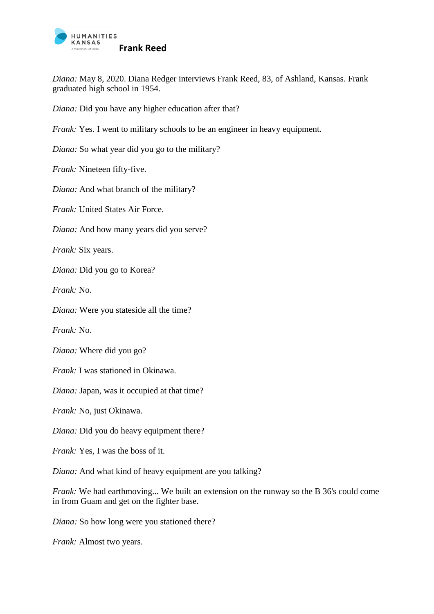

*Diana:* May 8, 2020. Diana Redger interviews Frank Reed, 83, of Ashland, Kansas. Frank graduated high school in 1954.

*Diana:* Did you have any higher education after that?

*Frank:* Yes. I went to military schools to be an engineer in heavy equipment.

*Diana:* So what year did you go to the military?

*Frank:* Nineteen fifty-five.

*Diana:* And what branch of the military?

*Frank:* United States Air Force.

*Diana:* And how many years did you serve?

*Frank:* Six years.

*Diana:* Did you go to Korea?

*Frank:* No.

*Diana:* Were you stateside all the time?

*Frank:* No.

*Diana:* Where did you go?

*Frank:* I was stationed in Okinawa.

*Diana:* Japan, was it occupied at that time?

*Frank:* No, just Okinawa.

*Diana:* Did you do heavy equipment there?

*Frank:* Yes, I was the boss of it.

*Diana:* And what kind of heavy equipment are you talking?

*Frank:* We had earthmoving... We built an extension on the runway so the B 36's could come in from Guam and get on the fighter base.

*Diana:* So how long were you stationed there?

*Frank:* Almost two years.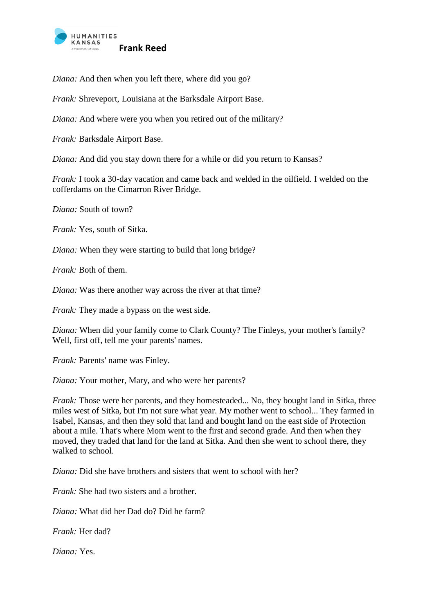

*Diana:* And then when you left there, where did you go?

*Frank:* Shreveport, Louisiana at the Barksdale Airport Base.

*Diana:* And where were you when you retired out of the military?

*Frank:* Barksdale Airport Base.

*Diana:* And did you stay down there for a while or did you return to Kansas?

*Frank:* I took a 30-day vacation and came back and welded in the oilfield. I welded on the cofferdams on the Cimarron River Bridge.

*Diana:* South of town?

*Frank:* Yes, south of Sitka.

*Diana:* When they were starting to build that long bridge?

*Frank:* Both of them.

*Diana:* Was there another way across the river at that time?

*Frank:* They made a bypass on the west side.

*Diana:* When did your family come to Clark County? The Finleys, your mother's family? Well, first off, tell me your parents' names.

*Frank: Parents' name was Finley.* 

*Diana:* Your mother, Mary, and who were her parents?

*Frank:* Those were her parents, and they homesteaded... No, they bought land in Sitka, three miles west of Sitka, but I'm not sure what year. My mother went to school... They farmed in Isabel, Kansas, and then they sold that land and bought land on the east side of Protection about a mile. That's where Mom went to the first and second grade. And then when they moved, they traded that land for the land at Sitka. And then she went to school there, they walked to school.

*Diana:* Did she have brothers and sisters that went to school with her?

*Frank:* She had two sisters and a brother.

*Diana:* What did her Dad do? Did he farm?

*Frank:* Her dad?

*Diana:* Yes.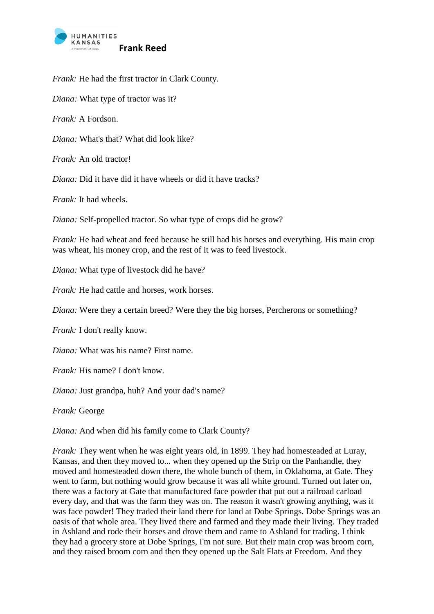

*Frank:* He had the first tractor in Clark County.

*Diana:* What type of tractor was it?

*Frank:* A Fordson.

*Diana:* What's that? What did look like?

*Frank:* An old tractor!

*Diana:* Did it have did it have wheels or did it have tracks?

*Frank:* It had wheels.

*Diana:* Self-propelled tractor. So what type of crops did he grow?

*Frank:* He had wheat and feed because he still had his horses and everything. His main crop was wheat, his money crop, and the rest of it was to feed livestock.

*Diana:* What type of livestock did he have?

*Frank:* He had cattle and horses, work horses.

*Diana:* Were they a certain breed? Were they the big horses, Percherons or something?

*Frank:* I don't really know.

*Diana:* What was his name? First name.

*Frank:* His name? I don't know.

*Diana:* Just grandpa, huh? And your dad's name?

*Frank:* George

*Diana:* And when did his family come to Clark County?

*Frank:* They went when he was eight years old, in 1899. They had homesteaded at Luray, Kansas, and then they moved to... when they opened up the Strip on the Panhandle, they moved and homesteaded down there, the whole bunch of them, in Oklahoma, at Gate. They went to farm, but nothing would grow because it was all white ground. Turned out later on, there was a factory at Gate that manufactured face powder that put out a railroad carload every day, and that was the farm they was on. The reason it wasn't growing anything, was it was face powder! They traded their land there for land at Dobe Springs. Dobe Springs was an oasis of that whole area. They lived there and farmed and they made their living. They traded in Ashland and rode their horses and drove them and came to Ashland for trading. I think they had a grocery store at Dobe Springs, I'm not sure. But their main crop was broom corn, and they raised broom corn and then they opened up the Salt Flats at Freedom. And they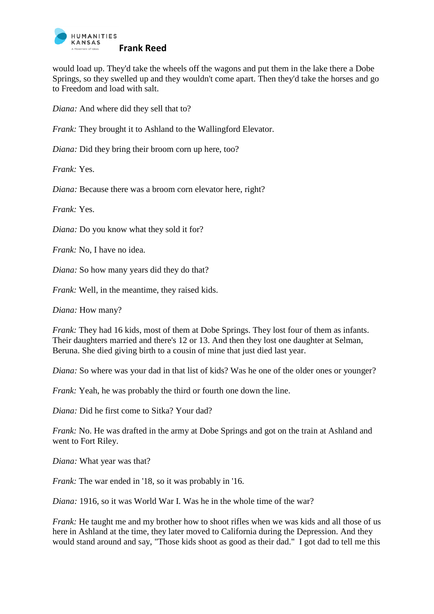

would load up. They'd take the wheels off the wagons and put them in the lake there a Dobe Springs, so they swelled up and they wouldn't come apart. Then they'd take the horses and go to Freedom and load with salt.

*Diana:* And where did they sell that to?

*Frank:* They brought it to Ashland to the Wallingford Elevator.

*Diana:* Did they bring their broom corn up here, too?

*Frank:* Yes.

*Diana:* Because there was a broom corn elevator here, right?

*Frank:* Yes.

*Diana:* Do you know what they sold it for?

*Frank:* No. I have no idea.

*Diana:* So how many years did they do that?

*Frank:* Well, in the meantime, they raised kids.

*Diana:* How many?

*Frank:* They had 16 kids, most of them at Dobe Springs. They lost four of them as infants. Their daughters married and there's 12 or 13. And then they lost one daughter at Selman, Beruna. She died giving birth to a cousin of mine that just died last year.

*Diana:* So where was your dad in that list of kids? Was he one of the older ones or younger?

*Frank:* Yeah, he was probably the third or fourth one down the line.

*Diana:* Did he first come to Sitka? Your dad?

*Frank:* No. He was drafted in the army at Dobe Springs and got on the train at Ashland and went to Fort Riley.

*Diana:* What year was that?

*Frank:* The war ended in '18, so it was probably in '16.

*Diana:* 1916, so it was World War I. Was he in the whole time of the war?

*Frank:* He taught me and my brother how to shoot rifles when we was kids and all those of us here in Ashland at the time, they later moved to California during the Depression. And they would stand around and say, "Those kids shoot as good as their dad." I got dad to tell me this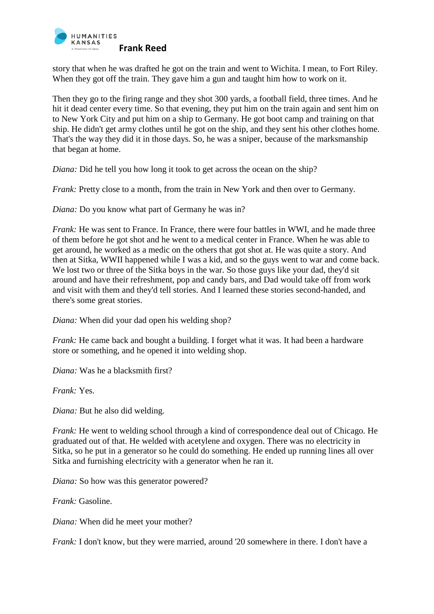

story that when he was drafted he got on the train and went to Wichita. I mean, to Fort Riley. When they got off the train. They gave him a gun and taught him how to work on it.

Then they go to the firing range and they shot 300 yards, a football field, three times. And he hit it dead center every time. So that evening, they put him on the train again and sent him on to New York City and put him on a ship to Germany. He got boot camp and training on that ship. He didn't get army clothes until he got on the ship, and they sent his other clothes home. That's the way they did it in those days. So, he was a sniper, because of the marksmanship that began at home.

*Diana:* Did he tell you how long it took to get across the ocean on the ship?

*Frank:* Pretty close to a month, from the train in New York and then over to Germany.

*Diana:* Do you know what part of Germany he was in?

*Frank:* He was sent to France. In France, there were four battles in WWI, and he made three of them before he got shot and he went to a medical center in France. When he was able to get around, he worked as a medic on the others that got shot at. He was quite a story. And then at Sitka, WWII happened while I was a kid, and so the guys went to war and come back. We lost two or three of the Sitka boys in the war. So those guys like your dad, they'd sit around and have their refreshment, pop and candy bars, and Dad would take off from work and visit with them and they'd tell stories. And I learned these stories second-handed, and there's some great stories.

*Diana:* When did your dad open his welding shop?

*Frank:* He came back and bought a building. I forget what it was. It had been a hardware store or something, and he opened it into welding shop.

*Diana:* Was he a blacksmith first?

*Frank:* Yes.

*Diana:* But he also did welding.

*Frank:* He went to welding school through a kind of correspondence deal out of Chicago. He graduated out of that. He welded with acetylene and oxygen. There was no electricity in Sitka, so he put in a generator so he could do something. He ended up running lines all over Sitka and furnishing electricity with a generator when he ran it.

*Diana:* So how was this generator powered?

*Frank:* Gasoline.

*Diana:* When did he meet your mother?

*Frank:* I don't know, but they were married, around '20 somewhere in there. I don't have a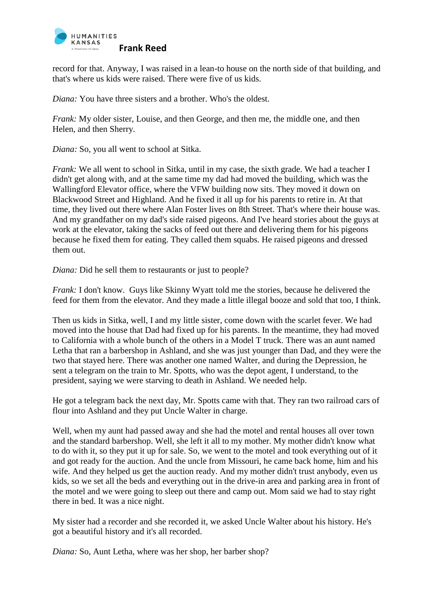

record for that. Anyway, I was raised in a lean-to house on the north side of that building, and that's where us kids were raised. There were five of us kids.

*Diana:* You have three sisters and a brother. Who's the oldest.

*Frank:* My older sister, Louise, and then George, and then me, the middle one, and then Helen, and then Sherry.

*Diana:* So, you all went to school at Sitka.

*Frank:* We all went to school in Sitka, until in my case, the sixth grade. We had a teacher I didn't get along with, and at the same time my dad had moved the building, which was the Wallingford Elevator office, where the VFW building now sits. They moved it down on Blackwood Street and Highland. And he fixed it all up for his parents to retire in. At that time, they lived out there where Alan Foster lives on 8th Street. That's where their house was. And my grandfather on my dad's side raised pigeons. And I've heard stories about the guys at work at the elevator, taking the sacks of feed out there and delivering them for his pigeons because he fixed them for eating. They called them squabs. He raised pigeons and dressed them out.

*Diana:* Did he sell them to restaurants or just to people?

*Frank:* I don't know. Guys like Skinny Wyatt told me the stories, because he delivered the feed for them from the elevator. And they made a little illegal booze and sold that too, I think.

Then us kids in Sitka, well, I and my little sister, come down with the scarlet fever. We had moved into the house that Dad had fixed up for his parents. In the meantime, they had moved to California with a whole bunch of the others in a Model T truck. There was an aunt named Letha that ran a barbershop in Ashland, and she was just younger than Dad, and they were the two that stayed here. There was another one named Walter, and during the Depression, he sent a telegram on the train to Mr. Spotts, who was the depot agent, I understand, to the president, saying we were starving to death in Ashland. We needed help.

He got a telegram back the next day, Mr. Spotts came with that. They ran two railroad cars of flour into Ashland and they put Uncle Walter in charge.

Well, when my aunt had passed away and she had the motel and rental houses all over town and the standard barbershop. Well, she left it all to my mother. My mother didn't know what to do with it, so they put it up for sale. So, we went to the motel and took everything out of it and got ready for the auction. And the uncle from Missouri, he came back home, him and his wife. And they helped us get the auction ready. And my mother didn't trust anybody, even us kids, so we set all the beds and everything out in the drive-in area and parking area in front of the motel and we were going to sleep out there and camp out. Mom said we had to stay right there in bed. It was a nice night.

My sister had a recorder and she recorded it, we asked Uncle Walter about his history. He's got a beautiful history and it's all recorded.

*Diana:* So, Aunt Letha, where was her shop, her barber shop?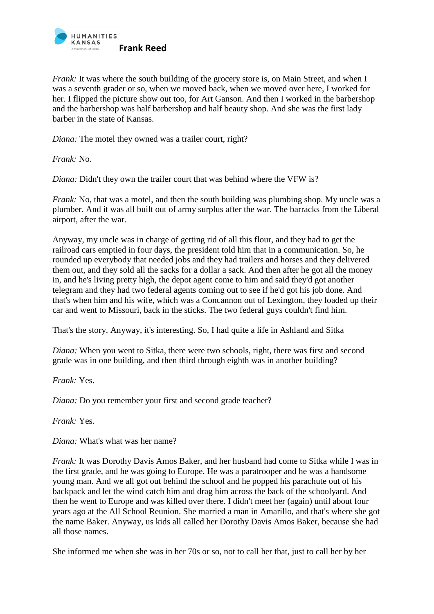

*Frank:* It was where the south building of the grocery store is, on Main Street, and when I was a seventh grader or so, when we moved back, when we moved over here, I worked for her. I flipped the picture show out too, for Art Ganson. And then I worked in the barbershop and the barbershop was half barbershop and half beauty shop. And she was the first lady barber in the state of Kansas.

*Diana:* The motel they owned was a trailer court, right?

*Frank:* No.

*Diana:* Didn't they own the trailer court that was behind where the VFW is?

*Frank:* No, that was a motel, and then the south building was plumbing shop. My uncle was a plumber. And it was all built out of army surplus after the war. The barracks from the Liberal airport, after the war.

Anyway, my uncle was in charge of getting rid of all this flour, and they had to get the railroad cars emptied in four days, the president told him that in a communication. So, he rounded up everybody that needed jobs and they had trailers and horses and they delivered them out, and they sold all the sacks for a dollar a sack. And then after he got all the money in, and he's living pretty high, the depot agent come to him and said they'd got another telegram and they had two federal agents coming out to see if he'd got his job done. And that's when him and his wife, which was a Concannon out of Lexington, they loaded up their car and went to Missouri, back in the sticks. The two federal guys couldn't find him.

That's the story. Anyway, it's interesting. So, I had quite a life in Ashland and Sitka

*Diana:* When you went to Sitka, there were two schools, right, there was first and second grade was in one building, and then third through eighth was in another building?

*Frank:* Yes.

*Diana:* Do you remember your first and second grade teacher?

*Frank:* Yes.

*Diana:* What's what was her name?

*Frank:* It was Dorothy Davis Amos Baker, and her husband had come to Sitka while I was in the first grade, and he was going to Europe. He was a paratrooper and he was a handsome young man. And we all got out behind the school and he popped his parachute out of his backpack and let the wind catch him and drag him across the back of the schoolyard. And then he went to Europe and was killed over there. I didn't meet her (again) until about four years ago at the All School Reunion. She married a man in Amarillo, and that's where she got the name Baker. Anyway, us kids all called her Dorothy Davis Amos Baker, because she had all those names.

She informed me when she was in her 70s or so, not to call her that, just to call her by her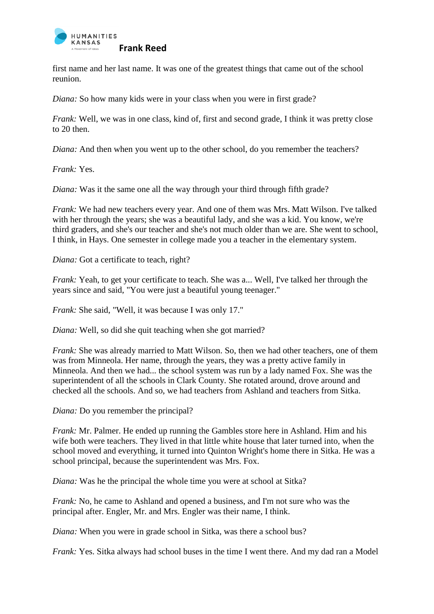

first name and her last name. It was one of the greatest things that came out of the school reunion.

*Diana:* So how many kids were in your class when you were in first grade?

*Frank:* Well, we was in one class, kind of, first and second grade, I think it was pretty close to 20 then.

*Diana:* And then when you went up to the other school, do you remember the teachers?

*Frank:* Yes.

*Diana:* Was it the same one all the way through your third through fifth grade?

*Frank:* We had new teachers every year. And one of them was Mrs. Matt Wilson. I've talked with her through the years; she was a beautiful lady, and she was a kid. You know, we're third graders, and she's our teacher and she's not much older than we are. She went to school, I think, in Hays. One semester in college made you a teacher in the elementary system.

*Diana:* Got a certificate to teach, right?

*Frank: Yeah, to get your certificate to teach. She was a... Well, I've talked her through the* years since and said, "You were just a beautiful young teenager."

*Frank:* She said, "Well, it was because I was only 17."

*Diana:* Well, so did she quit teaching when she got married?

*Frank:* She was already married to Matt Wilson. So, then we had other teachers, one of them was from Minneola. Her name, through the years, they was a pretty active family in Minneola. And then we had... the school system was run by a lady named Fox. She was the superintendent of all the schools in Clark County. She rotated around, drove around and checked all the schools. And so, we had teachers from Ashland and teachers from Sitka.

*Diana:* Do you remember the principal?

*Frank:* Mr. Palmer. He ended up running the Gambles store here in Ashland. Him and his wife both were teachers. They lived in that little white house that later turned into, when the school moved and everything, it turned into Quinton Wright's home there in Sitka. He was a school principal, because the superintendent was Mrs. Fox.

*Diana:* Was he the principal the whole time you were at school at Sitka?

*Frank:* No, he came to Ashland and opened a business, and I'm not sure who was the principal after. Engler, Mr. and Mrs. Engler was their name, I think.

*Diana:* When you were in grade school in Sitka, was there a school bus?

*Frank: Yes. Sitka always had school buses in the time I went there. And my dad ran a Model*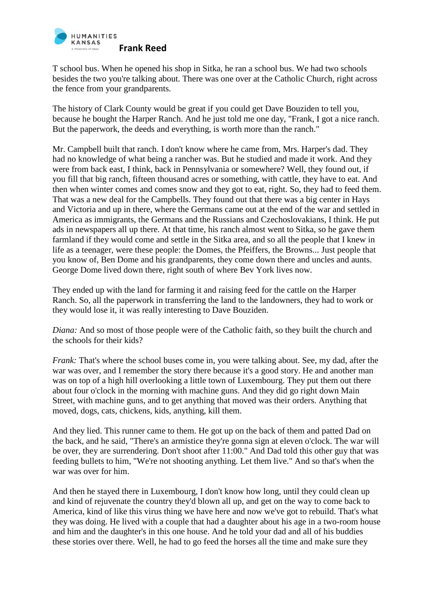

T school bus. When he opened his shop in Sitka, he ran a school bus. We had two schools besides the two you're talking about. There was one over at the Catholic Church, right across the fence from your grandparents.

The history of Clark County would be great if you could get Dave Bouziden to tell you, because he bought the Harper Ranch. And he just told me one day, "Frank, I got a nice ranch. But the paperwork, the deeds and everything, is worth more than the ranch."

Mr. Campbell built that ranch. I don't know where he came from, Mrs. Harper's dad. They had no knowledge of what being a rancher was. But he studied and made it work. And they were from back east, I think, back in Pennsylvania or somewhere? Well, they found out, if you fill that big ranch, fifteen thousand acres or something, with cattle, they have to eat. And then when winter comes and comes snow and they got to eat, right. So, they had to feed them. That was a new deal for the Campbells. They found out that there was a big center in Hays and Victoria and up in there, where the Germans came out at the end of the war and settled in America as immigrants, the Germans and the Russians and Czechoslovakians, I think. He put ads in newspapers all up there. At that time, his ranch almost went to Sitka, so he gave them farmland if they would come and settle in the Sitka area, and so all the people that I knew in life as a teenager, were these people: the Domes, the Pfeiffers, the Browns... Just people that you know of, Ben Dome and his grandparents, they come down there and uncles and aunts. George Dome lived down there, right south of where Bev York lives now.

They ended up with the land for farming it and raising feed for the cattle on the Harper Ranch. So, all the paperwork in transferring the land to the landowners, they had to work or they would lose it, it was really interesting to Dave Bouziden.

*Diana:* And so most of those people were of the Catholic faith, so they built the church and the schools for their kids?

*Frank:* That's where the school buses come in, you were talking about. See, my dad, after the war was over, and I remember the story there because it's a good story. He and another man was on top of a high hill overlooking a little town of Luxembourg. They put them out there about four o'clock in the morning with machine guns. And they did go right down Main Street, with machine guns, and to get anything that moved was their orders. Anything that moved, dogs, cats, chickens, kids, anything, kill them.

And they lied. This runner came to them. He got up on the back of them and patted Dad on the back, and he said, "There's an armistice they're gonna sign at eleven o'clock. The war will be over, they are surrendering. Don't shoot after 11:00." And Dad told this other guy that was feeding bullets to him, "We're not shooting anything. Let them live." And so that's when the war was over for him.

And then he stayed there in Luxembourg, I don't know how long, until they could clean up and kind of rejuvenate the country they'd blown all up, and get on the way to come back to America, kind of like this virus thing we have here and now we've got to rebuild. That's what they was doing. He lived with a couple that had a daughter about his age in a two-room house and him and the daughter's in this one house. And he told your dad and all of his buddies these stories over there. Well, he had to go feed the horses all the time and make sure they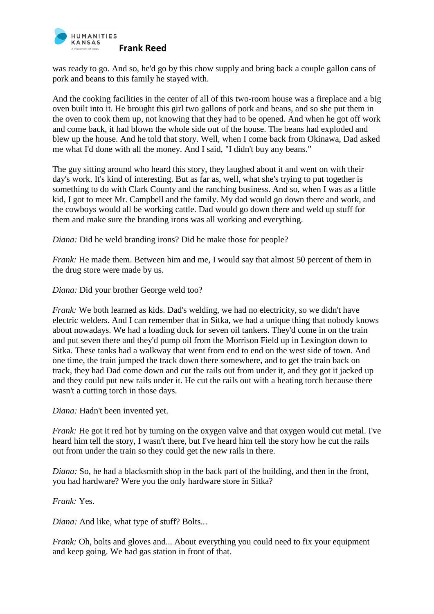

was ready to go. And so, he'd go by this chow supply and bring back a couple gallon cans of pork and beans to this family he stayed with.

And the cooking facilities in the center of all of this two-room house was a fireplace and a big oven built into it. He brought this girl two gallons of pork and beans, and so she put them in the oven to cook them up, not knowing that they had to be opened. And when he got off work and come back, it had blown the whole side out of the house. The beans had exploded and blew up the house. And he told that story. Well, when I come back from Okinawa, Dad asked me what I'd done with all the money. And I said, "I didn't buy any beans."

The guy sitting around who heard this story, they laughed about it and went on with their day's work. It's kind of interesting. But as far as, well, what she's trying to put together is something to do with Clark County and the ranching business. And so, when I was as a little kid, I got to meet Mr. Campbell and the family. My dad would go down there and work, and the cowboys would all be working cattle. Dad would go down there and weld up stuff for them and make sure the branding irons was all working and everything.

*Diana:* Did he weld branding irons? Did he make those for people?

*Frank:* He made them. Between him and me, I would say that almost 50 percent of them in the drug store were made by us.

*Diana:* Did your brother George weld too?

*Frank:* We both learned as kids. Dad's welding, we had no electricity, so we didn't have electric welders. And I can remember that in Sitka, we had a unique thing that nobody knows about nowadays. We had a loading dock for seven oil tankers. They'd come in on the train and put seven there and they'd pump oil from the Morrison Field up in Lexington down to Sitka. These tanks had a walkway that went from end to end on the west side of town. And one time, the train jumped the track down there somewhere, and to get the train back on track, they had Dad come down and cut the rails out from under it, and they got it jacked up and they could put new rails under it. He cut the rails out with a heating torch because there wasn't a cutting torch in those days.

*Diana:* Hadn't been invented yet.

*Frank:* He got it red hot by turning on the oxygen valve and that oxygen would cut metal. I've heard him tell the story, I wasn't there, but I've heard him tell the story how he cut the rails out from under the train so they could get the new rails in there.

*Diana:* So, he had a blacksmith shop in the back part of the building, and then in the front, you had hardware? Were you the only hardware store in Sitka?

*Frank:* Yes.

*Diana:* And like, what type of stuff? Bolts...

*Frank:* Oh, bolts and gloves and... About everything you could need to fix your equipment and keep going. We had gas station in front of that.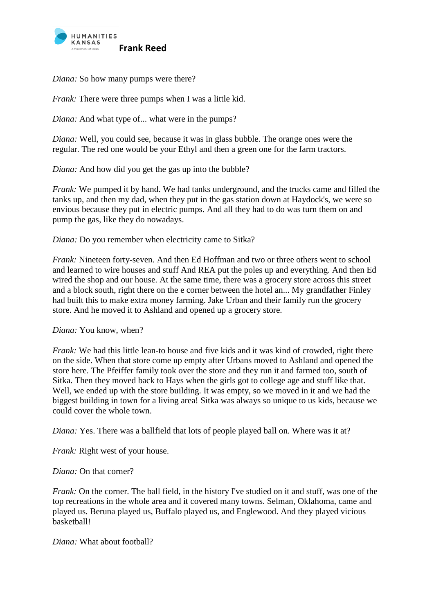

*Diana:* So how many pumps were there?

*Frank:* There were three pumps when I was a little kid.

*Diana:* And what type of... what were in the pumps?

*Diana:* Well, you could see, because it was in glass bubble. The orange ones were the regular. The red one would be your Ethyl and then a green one for the farm tractors.

*Diana:* And how did you get the gas up into the bubble?

*Frank:* We pumped it by hand. We had tanks underground, and the trucks came and filled the tanks up, and then my dad, when they put in the gas station down at Haydock's, we were so envious because they put in electric pumps. And all they had to do was turn them on and pump the gas, like they do nowadays.

*Diana:* Do you remember when electricity came to Sitka?

*Frank:* Nineteen forty-seven. And then Ed Hoffman and two or three others went to school and learned to wire houses and stuff And REA put the poles up and everything. And then Ed wired the shop and our house. At the same time, there was a grocery store across this street and a block south, right there on the e corner between the hotel an... My grandfather Finley had built this to make extra money farming. Jake Urban and their family run the grocery store. And he moved it to Ashland and opened up a grocery store.

*Diana:* You know, when?

*Frank:* We had this little lean-to house and five kids and it was kind of crowded, right there on the side. When that store come up empty after Urbans moved to Ashland and opened the store here. The Pfeiffer family took over the store and they run it and farmed too, south of Sitka. Then they moved back to Hays when the girls got to college age and stuff like that. Well, we ended up with the store building. It was empty, so we moved in it and we had the biggest building in town for a living area! Sitka was always so unique to us kids, because we could cover the whole town.

*Diana:* Yes. There was a ballfield that lots of people played ball on. Where was it at?

*Frank:* Right west of your house.

*Diana:* On that corner?

*Frank:* On the corner. The ball field, in the history I've studied on it and stuff, was one of the top recreations in the whole area and it covered many towns. Selman, Oklahoma, came and played us. Beruna played us, Buffalo played us, and Englewood. And they played vicious basketball!

*Diana:* What about football?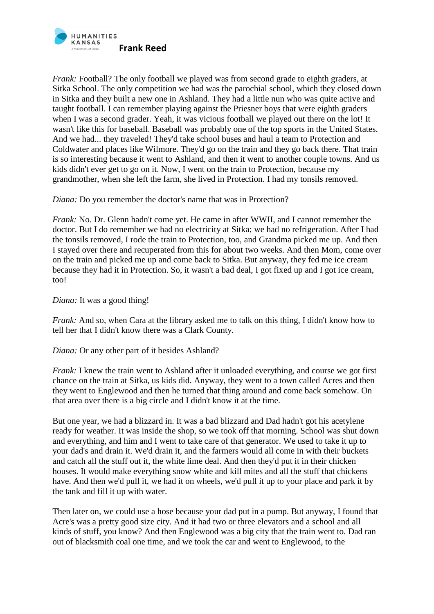

*Frank:* Football? The only football we played was from second grade to eighth graders, at Sitka School. The only competition we had was the parochial school, which they closed down in Sitka and they built a new one in Ashland. They had a little nun who was quite active and taught football. I can remember playing against the Priesner boys that were eighth graders when I was a second grader. Yeah, it was vicious football we played out there on the lot! It wasn't like this for baseball. Baseball was probably one of the top sports in the United States. And we had... they traveled! They'd take school buses and haul a team to Protection and Coldwater and places like Wilmore. They'd go on the train and they go back there. That train is so interesting because it went to Ashland, and then it went to another couple towns. And us kids didn't ever get to go on it. Now, I went on the train to Protection, because my grandmother, when she left the farm, she lived in Protection. I had my tonsils removed.

*Diana:* Do you remember the doctor's name that was in Protection?

*Frank:* No. Dr. Glenn hadn't come yet. He came in after WWII, and I cannot remember the doctor. But I do remember we had no electricity at Sitka; we had no refrigeration. After I had the tonsils removed, I rode the train to Protection, too, and Grandma picked me up. And then I stayed over there and recuperated from this for about two weeks. And then Mom, come over on the train and picked me up and come back to Sitka. But anyway, they fed me ice cream because they had it in Protection. So, it wasn't a bad deal, I got fixed up and I got ice cream, too!

*Diana:* It was a good thing!

*Frank:* And so, when Cara at the library asked me to talk on this thing, I didn't know how to tell her that I didn't know there was a Clark County.

*Diana:* Or any other part of it besides Ashland?

*Frank:* I knew the train went to Ashland after it unloaded everything, and course we got first chance on the train at Sitka, us kids did. Anyway, they went to a town called Acres and then they went to Englewood and then he turned that thing around and come back somehow. On that area over there is a big circle and I didn't know it at the time.

But one year, we had a blizzard in. It was a bad blizzard and Dad hadn't got his acetylene ready for weather. It was inside the shop, so we took off that morning. School was shut down and everything, and him and I went to take care of that generator. We used to take it up to your dad's and drain it. We'd drain it, and the farmers would all come in with their buckets and catch all the stuff out it, the white lime deal. And then they'd put it in their chicken houses. It would make everything snow white and kill mites and all the stuff that chickens have. And then we'd pull it, we had it on wheels, we'd pull it up to your place and park it by the tank and fill it up with water.

Then later on, we could use a hose because your dad put in a pump. But anyway, I found that Acre's was a pretty good size city. And it had two or three elevators and a school and all kinds of stuff, you know? And then Englewood was a big city that the train went to. Dad ran out of blacksmith coal one time, and we took the car and went to Englewood, to the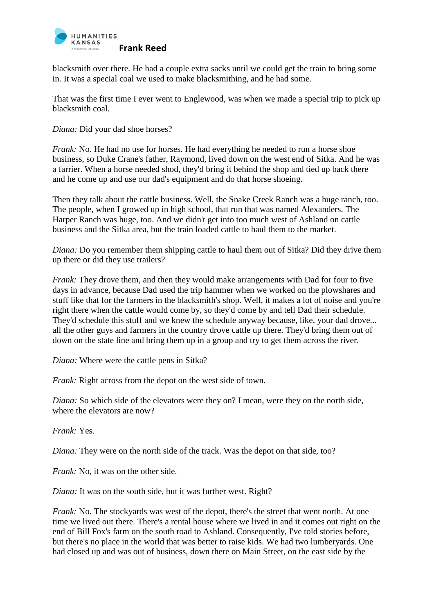

blacksmith over there. He had a couple extra sacks until we could get the train to bring some in. It was a special coal we used to make blacksmithing, and he had some.

That was the first time I ever went to Englewood, was when we made a special trip to pick up blacksmith coal.

*Diana:* Did your dad shoe horses?

*Frank:* No. He had no use for horses. He had everything he needed to run a horse shoe business, so Duke Crane's father, Raymond, lived down on the west end of Sitka. And he was a farrier. When a horse needed shod, they'd bring it behind the shop and tied up back there and he come up and use our dad's equipment and do that horse shoeing.

Then they talk about the cattle business. Well, the Snake Creek Ranch was a huge ranch, too. The people, when I growed up in high school, that run that was named Alexanders. The Harper Ranch was huge, too. And we didn't get into too much west of Ashland on cattle business and the Sitka area, but the train loaded cattle to haul them to the market.

*Diana:* Do you remember them shipping cattle to haul them out of Sitka? Did they drive them up there or did they use trailers?

*Frank:* They drove them, and then they would make arrangements with Dad for four to five days in advance, because Dad used the trip hammer when we worked on the plowshares and stuff like that for the farmers in the blacksmith's shop. Well, it makes a lot of noise and you're right there when the cattle would come by, so they'd come by and tell Dad their schedule. They'd schedule this stuff and we knew the schedule anyway because, like, your dad drove... all the other guys and farmers in the country drove cattle up there. They'd bring them out of down on the state line and bring them up in a group and try to get them across the river.

*Diana:* Where were the cattle pens in Sitka?

*Frank:* Right across from the depot on the west side of town.

*Diana:* So which side of the elevators were they on? I mean, were they on the north side, where the elevators are now?

*Frank:* Yes.

*Diana:* They were on the north side of the track. Was the depot on that side, too?

*Frank:* No, it was on the other side.

*Diana:* It was on the south side, but it was further west. Right?

*Frank:* No. The stockyards was west of the depot, there's the street that went north. At one time we lived out there. There's a rental house where we lived in and it comes out right on the end of Bill Fox's farm on the south road to Ashland. Consequently, I've told stories before, but there's no place in the world that was better to raise kids. We had two lumberyards. One had closed up and was out of business, down there on Main Street, on the east side by the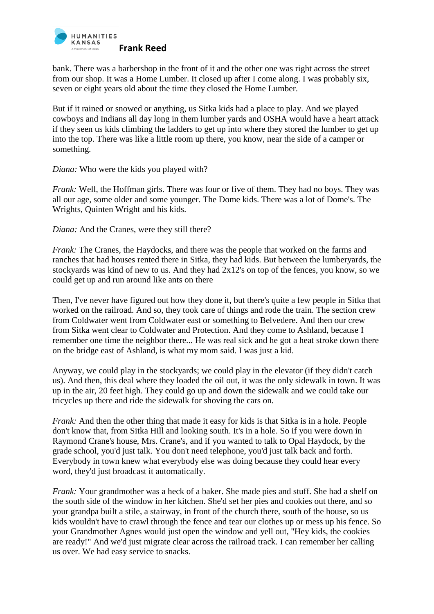

bank. There was a barbershop in the front of it and the other one was right across the street from our shop. It was a Home Lumber. It closed up after I come along. I was probably six, seven or eight years old about the time they closed the Home Lumber.

But if it rained or snowed or anything, us Sitka kids had a place to play. And we played cowboys and Indians all day long in them lumber yards and OSHA would have a heart attack if they seen us kids climbing the ladders to get up into where they stored the lumber to get up into the top. There was like a little room up there, you know, near the side of a camper or something.

*Diana:* Who were the kids you played with?

*Frank:* Well, the Hoffman girls. There was four or five of them. They had no boys. They was all our age, some older and some younger. The Dome kids. There was a lot of Dome's. The Wrights, Quinten Wright and his kids.

*Diana:* And the Cranes, were they still there?

*Frank:* The Cranes, the Haydocks, and there was the people that worked on the farms and ranches that had houses rented there in Sitka, they had kids. But between the lumberyards, the stockyards was kind of new to us. And they had 2x12's on top of the fences, you know, so we could get up and run around like ants on there

Then, I've never have figured out how they done it, but there's quite a few people in Sitka that worked on the railroad. And so, they took care of things and rode the train. The section crew from Coldwater went from Coldwater east or something to Belvedere. And then our crew from Sitka went clear to Coldwater and Protection. And they come to Ashland, because I remember one time the neighbor there... He was real sick and he got a heat stroke down there on the bridge east of Ashland, is what my mom said. I was just a kid.

Anyway, we could play in the stockyards; we could play in the elevator (if they didn't catch us). And then, this deal where they loaded the oil out, it was the only sidewalk in town. It was up in the air, 20 feet high. They could go up and down the sidewalk and we could take our tricycles up there and ride the sidewalk for shoving the cars on.

*Frank:* And then the other thing that made it easy for kids is that Sitka is in a hole. People don't know that, from Sitka Hill and looking south. It's in a hole. So if you were down in Raymond Crane's house, Mrs. Crane's, and if you wanted to talk to Opal Haydock, by the grade school, you'd just talk. You don't need telephone, you'd just talk back and forth. Everybody in town knew what everybody else was doing because they could hear every word, they'd just broadcast it automatically.

*Frank:* Your grandmother was a heck of a baker. She made pies and stuff. She had a shelf on the south side of the window in her kitchen. She'd set her pies and cookies out there, and so your grandpa built a stile, a stairway, in front of the church there, south of the house, so us kids wouldn't have to crawl through the fence and tear our clothes up or mess up his fence. So your Grandmother Agnes would just open the window and yell out, "Hey kids, the cookies are ready!" And we'd just migrate clear across the railroad track. I can remember her calling us over. We had easy service to snacks.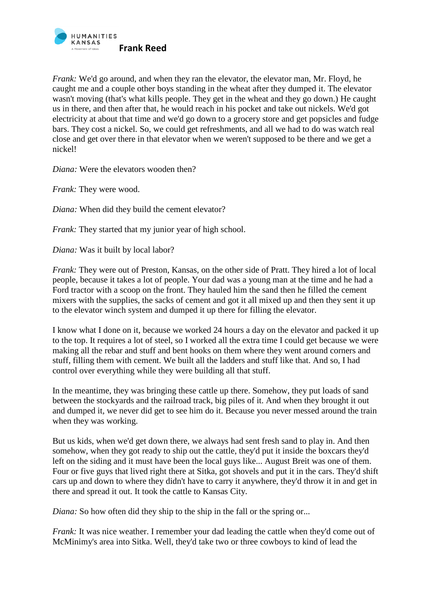

*Frank:* We'd go around, and when they ran the elevator, the elevator man, Mr. Floyd, he caught me and a couple other boys standing in the wheat after they dumped it. The elevator wasn't moving (that's what kills people. They get in the wheat and they go down.) He caught us in there, and then after that, he would reach in his pocket and take out nickels. We'd got electricity at about that time and we'd go down to a grocery store and get popsicles and fudge bars. They cost a nickel. So, we could get refreshments, and all we had to do was watch real close and get over there in that elevator when we weren't supposed to be there and we get a nickel!

*Diana:* Were the elevators wooden then?

*Frank:* They were wood.

*Diana:* When did they build the cement elevator?

*Frank:* They started that my junior year of high school.

*Diana:* Was it built by local labor?

*Frank:* They were out of Preston, Kansas, on the other side of Pratt. They hired a lot of local people, because it takes a lot of people. Your dad was a young man at the time and he had a Ford tractor with a scoop on the front. They hauled him the sand then he filled the cement mixers with the supplies, the sacks of cement and got it all mixed up and then they sent it up to the elevator winch system and dumped it up there for filling the elevator.

I know what I done on it, because we worked 24 hours a day on the elevator and packed it up to the top. It requires a lot of steel, so I worked all the extra time I could get because we were making all the rebar and stuff and bent hooks on them where they went around corners and stuff, filling them with cement. We built all the ladders and stuff like that. And so, I had control over everything while they were building all that stuff.

In the meantime, they was bringing these cattle up there. Somehow, they put loads of sand between the stockyards and the railroad track, big piles of it. And when they brought it out and dumped it, we never did get to see him do it. Because you never messed around the train when they was working.

But us kids, when we'd get down there, we always had sent fresh sand to play in. And then somehow, when they got ready to ship out the cattle, they'd put it inside the boxcars they'd left on the siding and it must have been the local guys like... August Breit was one of them. Four or five guys that lived right there at Sitka, got shovels and put it in the cars. They'd shift cars up and down to where they didn't have to carry it anywhere, they'd throw it in and get in there and spread it out. It took the cattle to Kansas City.

*Diana:* So how often did they ship to the ship in the fall or the spring or...

*Frank:* It was nice weather. I remember your dad leading the cattle when they'd come out of McMinimy's area into Sitka. Well, they'd take two or three cowboys to kind of lead the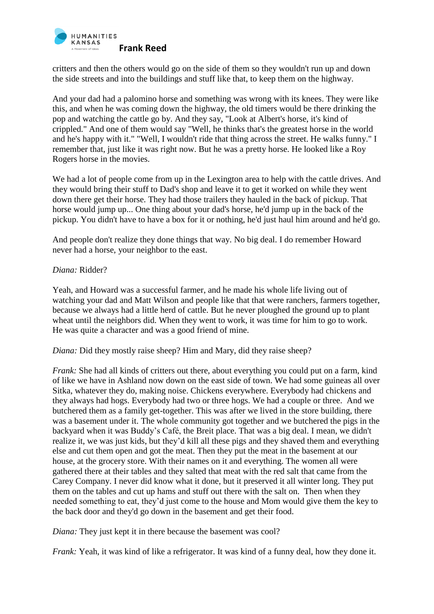

critters and then the others would go on the side of them so they wouldn't run up and down the side streets and into the buildings and stuff like that, to keep them on the highway.

And your dad had a palomino horse and something was wrong with its knees. They were like this, and when he was coming down the highway, the old timers would be there drinking the pop and watching the cattle go by. And they say, "Look at Albert's horse, it's kind of crippled." And one of them would say "Well, he thinks that's the greatest horse in the world and he's happy with it." "Well, I wouldn't ride that thing across the street. He walks funny." I remember that, just like it was right now. But he was a pretty horse. He looked like a Roy Rogers horse in the movies.

We had a lot of people come from up in the Lexington area to help with the cattle drives. And they would bring their stuff to Dad's shop and leave it to get it worked on while they went down there get their horse. They had those trailers they hauled in the back of pickup. That horse would jump up... One thing about your dad's horse, he'd jump up in the back of the pickup. You didn't have to have a box for it or nothing, he'd just haul him around and he'd go.

And people don't realize they done things that way. No big deal. I do remember Howard never had a horse, your neighbor to the east.

## *Diana:* Ridder?

Yeah, and Howard was a successful farmer, and he made his whole life living out of watching your dad and Matt Wilson and people like that that were ranchers, farmers together, because we always had a little herd of cattle. But he never ploughed the ground up to plant wheat until the neighbors did. When they went to work, it was time for him to go to work. He was quite a character and was a good friend of mine.

*Diana:* Did they mostly raise sheep? Him and Mary, did they raise sheep?

*Frank:* She had all kinds of critters out there, about everything you could put on a farm, kind of like we have in Ashland now down on the east side of town. We had some guineas all over Sitka, whatever they do, making noise. Chickens everywhere. Everybody had chickens and they always had hogs. Everybody had two or three hogs. We had a couple or three. And we butchered them as a family get-together. This was after we lived in the store building, there was a basement under it. The whole community got together and we butchered the pigs in the backyard when it was Buddy's Café, the Breit place. That was a big deal. I mean, we didn't realize it, we was just kids, but they'd kill all these pigs and they shaved them and everything else and cut them open and got the meat. Then they put the meat in the basement at our house, at the grocery store. With their names on it and everything. The women all were gathered there at their tables and they salted that meat with the red salt that came from the Carey Company. I never did know what it done, but it preserved it all winter long. They put them on the tables and cut up hams and stuff out there with the salt on. Then when they needed something to eat, they'd just come to the house and Mom would give them the key to the back door and they'd go down in the basement and get their food.

*Diana:* They just kept it in there because the basement was cool?

*Frank:* Yeah, it was kind of like a refrigerator. It was kind of a funny deal, how they done it.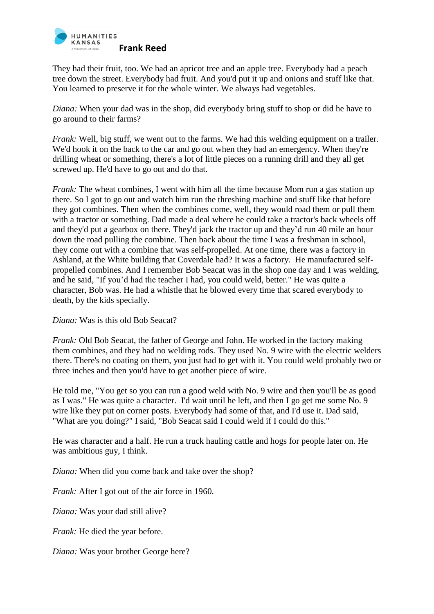

They had their fruit, too. We had an apricot tree and an apple tree. Everybody had a peach tree down the street. Everybody had fruit. And you'd put it up and onions and stuff like that. You learned to preserve it for the whole winter. We always had vegetables.

*Diana:* When your dad was in the shop, did everybody bring stuff to shop or did he have to go around to their farms?

*Frank:* Well, big stuff, we went out to the farms. We had this welding equipment on a trailer. We'd hook it on the back to the car and go out when they had an emergency. When they're drilling wheat or something, there's a lot of little pieces on a running drill and they all get screwed up. He'd have to go out and do that.

*Frank:* The wheat combines, I went with him all the time because Mom run a gas station up there. So I got to go out and watch him run the threshing machine and stuff like that before they got combines. Then when the combines come, well, they would road them or pull them with a tractor or something. Dad made a deal where he could take a tractor's back wheels off and they'd put a gearbox on there. They'd jack the tractor up and they'd run 40 mile an hour down the road pulling the combine. Then back about the time I was a freshman in school, they come out with a combine that was self-propelled. At one time, there was a factory in Ashland, at the White building that Coverdale had? It was a factory. He manufactured selfpropelled combines. And I remember Bob Seacat was in the shop one day and I was welding, and he said, "If you'd had the teacher I had, you could weld, better." He was quite a character, Bob was. He had a whistle that he blowed every time that scared everybody to death, by the kids specially.

*Diana:* Was is this old Bob Seacat?

*Frank:* Old Bob Seacat, the father of George and John. He worked in the factory making them combines, and they had no welding rods. They used No. 9 wire with the electric welders there. There's no coating on them, you just had to get with it. You could weld probably two or three inches and then you'd have to get another piece of wire.

He told me, "You get so you can run a good weld with No. 9 wire and then you'll be as good as I was." He was quite a character. I'd wait until he left, and then I go get me some No. 9 wire like they put on corner posts. Everybody had some of that, and I'd use it. Dad said, "What are you doing?" I said, "Bob Seacat said I could weld if I could do this."

He was character and a half. He run a truck hauling cattle and hogs for people later on. He was ambitious guy, I think.

*Diana:* When did you come back and take over the shop?

*Frank:* After I got out of the air force in 1960.

*Diana:* Was your dad still alive?

*Frank:* He died the year before.

*Diana:* Was your brother George here?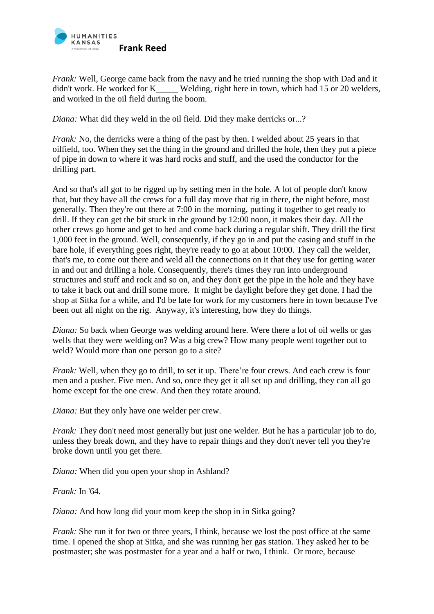

*Frank:* Well, George came back from the navy and he tried running the shop with Dad and it didn't work. He worked for K Welding, right here in town, which had 15 or 20 welders, and worked in the oil field during the boom.

*Diana:* What did they weld in the oil field. Did they make derricks or...?

*Frank:* No, the derricks were a thing of the past by then. I welded about 25 years in that oilfield, too. When they set the thing in the ground and drilled the hole, then they put a piece of pipe in down to where it was hard rocks and stuff, and the used the conductor for the drilling part.

And so that's all got to be rigged up by setting men in the hole. A lot of people don't know that, but they have all the crews for a full day move that rig in there, the night before, most generally. Then they're out there at 7:00 in the morning, putting it together to get ready to drill. If they can get the bit stuck in the ground by 12:00 noon, it makes their day. All the other crews go home and get to bed and come back during a regular shift. They drill the first 1,000 feet in the ground. Well, consequently, if they go in and put the casing and stuff in the bare hole, if everything goes right, they're ready to go at about 10:00. They call the welder, that's me, to come out there and weld all the connections on it that they use for getting water in and out and drilling a hole. Consequently, there's times they run into underground structures and stuff and rock and so on, and they don't get the pipe in the hole and they have to take it back out and drill some more. It might be daylight before they get done. I had the shop at Sitka for a while, and I'd be late for work for my customers here in town because I've been out all night on the rig. Anyway, it's interesting, how they do things.

*Diana:* So back when George was welding around here. Were there a lot of oil wells or gas wells that they were welding on? Was a big crew? How many people went together out to weld? Would more than one person go to a site?

*Frank:* Well, when they go to drill, to set it up. There're four crews. And each crew is four men and a pusher. Five men. And so, once they get it all set up and drilling, they can all go home except for the one crew. And then they rotate around.

*Diana:* But they only have one welder per crew.

*Frank:* They don't need most generally but just one welder. But he has a particular job to do, unless they break down, and they have to repair things and they don't never tell you they're broke down until you get there.

*Diana:* When did you open your shop in Ashland?

*Frank:* In '64.

*Diana:* And how long did your mom keep the shop in in Sitka going?

*Frank:* She run it for two or three years, I think, because we lost the post office at the same time. I opened the shop at Sitka, and she was running her gas station. They asked her to be postmaster; she was postmaster for a year and a half or two, I think. Or more, because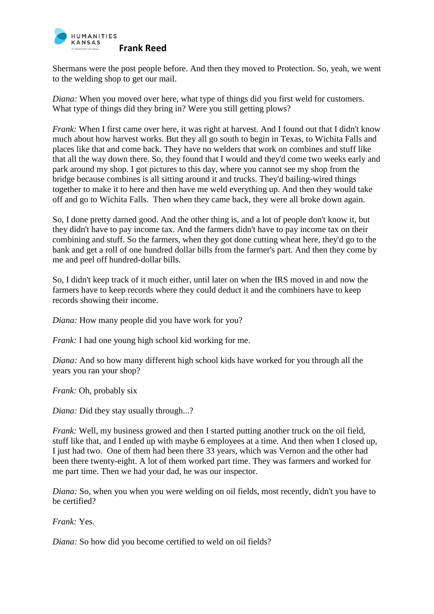

Shermans were the post people before. And then they moved to Protection. So, yeah, we went to the welding shop to get our mail.

*Diana:* When you moved over here, what type of things did you first weld for customers. What type of things did they bring in? Were you still getting plows?

*Frank:* When I first came over here, it was right at harvest. And I found out that I didn't know much about how harvest works. But they all go south to begin in Texas, to Wichita Falls and places like that and come back. They have no welders that work on combines and stuff like that all the way down there. So, they found that I would and they'd come two weeks early and park around my shop. I got pictures to this day, where you cannot see my shop from the bridge because combines is all sitting around it and trucks. They'd bailing-wired things together to make it to here and then have me weld everything up. And then they would take off and go to Wichita Falls. Then when they came back, they were all broke down again.

So, I done pretty darned good. And the other thing is, and a lot of people don't know it, but they didn't have to pay income tax. And the farmers didn't have to pay income tax on their combining and stuff. So the farmers, when they got done cutting wheat here, they'd go to the bank and get a roll of one hundred dollar bills from the farmer's part. And then they come by me and peel off hundred-dollar bills.

So, I didn't keep track of it much either, until later on when the IRS moved in and now the farmers have to keep records where they could deduct it and the combiners have to keep records showing their income.

*Diana:* How many people did you have work for you?

*Frank:* I had one young high school kid working for me.

*Diana:* And so how many different high school kids have worked for you through all the years you ran your shop?

*Frank:* Oh, probably six

*Diana:* Did they stay usually through...?

*Frank:* Well, my business growed and then I started putting another truck on the oil field, stuff like that, and I ended up with maybe 6 employees at a time. And then when I closed up, I just had two. One of them had been there 33 years, which was Vernon and the other had been there twenty-eight. A lot of them worked part time. They was farmers and worked for me part time. Then we had your dad, he was our inspector.

*Diana:* So, when you when you were welding on oil fields, most recently, didn't you have to be certified?

*Frank:* Yes.

*Diana:* So how did you become certified to weld on oil fields?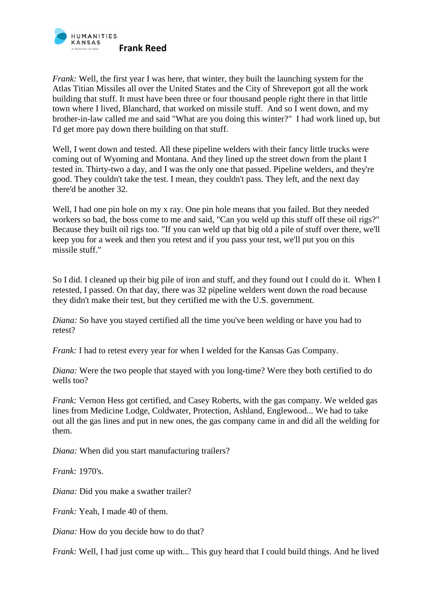

*Frank:* Well, the first year I was here, that winter, they built the launching system for the Atlas Titian Missiles all over the United States and the City of Shreveport got all the work building that stuff. It must have been three or four thousand people right there in that little town where I lived, Blanchard, that worked on missile stuff. And so I went down, and my brother-in-law called me and said "What are you doing this winter?" I had work lined up, but I'd get more pay down there building on that stuff.

Well, I went down and tested. All these pipeline welders with their fancy little trucks were coming out of Wyoming and Montana. And they lined up the street down from the plant I tested in. Thirty-two a day, and I was the only one that passed. Pipeline welders, and they're good. They couldn't take the test. I mean, they couldn't pass. They left, and the next day there'd be another 32.

Well, I had one pin hole on my x ray. One pin hole means that you failed. But they needed workers so bad, the boss come to me and said, "Can you weld up this stuff off these oil rigs?" Because they built oil rigs too. "If you can weld up that big old a pile of stuff over there, we'll keep you for a week and then you retest and if you pass your test, we'll put you on this missile stuff."

So I did. I cleaned up their big pile of iron and stuff, and they found out I could do it. When I retested, I passed. On that day, there was 32 pipeline welders went down the road because they didn't make their test, but they certified me with the U.S. government.

*Diana:* So have you stayed certified all the time you've been welding or have you had to retest?

*Frank:* I had to retest every year for when I welded for the Kansas Gas Company.

*Diana:* Were the two people that stayed with you long-time? Were they both certified to do wells too?

*Frank:* Vernon Hess got certified, and Casey Roberts, with the gas company. We welded gas lines from Medicine Lodge, Coldwater, Protection, Ashland, Englewood... We had to take out all the gas lines and put in new ones, the gas company came in and did all the welding for them.

*Diana:* When did you start manufacturing trailers?

*Frank:* 1970's.

*Diana:* Did you make a swather trailer?

*Frank:* Yeah, I made 40 of them.

*Diana:* How do you decide how to do that?

*Frank:* Well, I had just come up with... This guy heard that I could build things. And he lived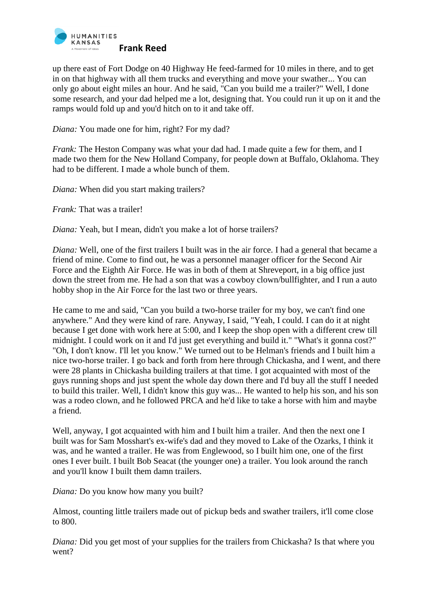

up there east of Fort Dodge on 40 Highway He feed-farmed for 10 miles in there, and to get in on that highway with all them trucks and everything and move your swather... You can only go about eight miles an hour. And he said, "Can you build me a trailer?" Well, I done some research, and your dad helped me a lot, designing that. You could run it up on it and the ramps would fold up and you'd hitch on to it and take off.

*Diana:* You made one for him, right? For my dad?

*Frank:* The Heston Company was what your dad had. I made quite a few for them, and I made two them for the New Holland Company, for people down at Buffalo, Oklahoma. They had to be different. I made a whole bunch of them.

*Diana:* When did you start making trailers?

*Frank:* That was a trailer!

*Diana:* Yeah, but I mean, didn't you make a lot of horse trailers?

*Diana:* Well, one of the first trailers I built was in the air force. I had a general that became a friend of mine. Come to find out, he was a personnel manager officer for the Second Air Force and the Eighth Air Force. He was in both of them at Shreveport, in a big office just down the street from me. He had a son that was a cowboy clown/bullfighter, and I run a auto hobby shop in the Air Force for the last two or three years.

He came to me and said, "Can you build a two-horse trailer for my boy, we can't find one anywhere." And they were kind of rare. Anyway, I said, "Yeah, I could. I can do it at night because I get done with work here at 5:00, and I keep the shop open with a different crew till midnight. I could work on it and I'd just get everything and build it." "What's it gonna cost?" "Oh, I don't know. I'll let you know." We turned out to be Helman's friends and I built him a nice two-horse trailer. I go back and forth from here through Chickasha, and I went, and there were 28 plants in Chickasha building trailers at that time. I got acquainted with most of the guys running shops and just spent the whole day down there and I'd buy all the stuff I needed to build this trailer. Well, I didn't know this guy was... He wanted to help his son, and his son was a rodeo clown, and he followed PRCA and he'd like to take a horse with him and maybe a friend.

Well, anyway, I got acquainted with him and I built him a trailer. And then the next one I built was for Sam Mosshart's ex-wife's dad and they moved to Lake of the Ozarks, I think it was, and he wanted a trailer. He was from Englewood, so I built him one, one of the first ones I ever built. I built Bob Seacat (the younger one) a trailer. You look around the ranch and you'll know I built them damn trailers.

*Diana:* Do you know how many you built?

Almost, counting little trailers made out of pickup beds and swather trailers, it'll come close to 800.

*Diana:* Did you get most of your supplies for the trailers from Chickasha? Is that where you went?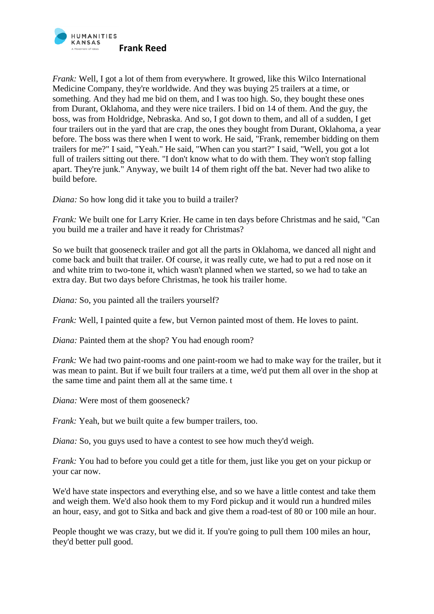

*Frank:* Well, I got a lot of them from everywhere. It growed, like this Wilco International Medicine Company, they're worldwide. And they was buying 25 trailers at a time, or something. And they had me bid on them, and I was too high. So, they bought these ones from Durant, Oklahoma, and they were nice trailers. I bid on 14 of them. And the guy, the boss, was from Holdridge, Nebraska. And so, I got down to them, and all of a sudden, I get four trailers out in the yard that are crap, the ones they bought from Durant, Oklahoma, a year before. The boss was there when I went to work. He said, "Frank, remember bidding on them trailers for me?" I said, "Yeah." He said, "When can you start?" I said, "Well, you got a lot full of trailers sitting out there. "I don't know what to do with them. They won't stop falling apart. They're junk." Anyway, we built 14 of them right off the bat. Never had two alike to build before.

*Diana:* So how long did it take you to build a trailer?

*Frank:* We built one for Larry Krier. He came in ten days before Christmas and he said, "Can you build me a trailer and have it ready for Christmas?

So we built that gooseneck trailer and got all the parts in Oklahoma, we danced all night and come back and built that trailer. Of course, it was really cute, we had to put a red nose on it and white trim to two-tone it, which wasn't planned when we started, so we had to take an extra day. But two days before Christmas, he took his trailer home.

*Diana:* So, you painted all the trailers yourself?

*Frank:* Well, I painted quite a few, but Vernon painted most of them. He loves to paint.

*Diana:* Painted them at the shop? You had enough room?

*Frank:* We had two paint-rooms and one paint-room we had to make way for the trailer, but it was mean to paint. But if we built four trailers at a time, we'd put them all over in the shop at the same time and paint them all at the same time. t

*Diana:* Were most of them gooseneck?

*Frank:* Yeah, but we built quite a few bumper trailers, too.

*Diana:* So, you guys used to have a contest to see how much they'd weigh.

*Frank:* You had to before you could get a title for them, just like you get on your pickup or your car now.

We'd have state inspectors and everything else, and so we have a little contest and take them and weigh them. We'd also hook them to my Ford pickup and it would run a hundred miles an hour, easy, and got to Sitka and back and give them a road-test of 80 or 100 mile an hour.

People thought we was crazy, but we did it. If you're going to pull them 100 miles an hour, they'd better pull good.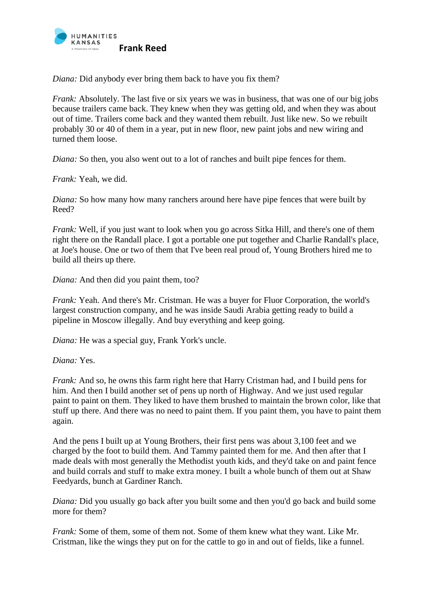

*Diana:* Did anybody ever bring them back to have you fix them?

*Frank:* Absolutely. The last five or six years we was in business, that was one of our big jobs because trailers came back. They knew when they was getting old, and when they was about out of time. Trailers come back and they wanted them rebuilt. Just like new. So we rebuilt probably 30 or 40 of them in a year, put in new floor, new paint jobs and new wiring and turned them loose.

*Diana:* So then, you also went out to a lot of ranches and built pipe fences for them.

*Frank:* Yeah, we did.

*Diana:* So how many how many ranchers around here have pipe fences that were built by Reed?

*Frank:* Well, if you just want to look when you go across Sitka Hill, and there's one of them right there on the Randall place. I got a portable one put together and Charlie Randall's place, at Joe's house. One or two of them that I've been real proud of, Young Brothers hired me to build all theirs up there.

*Diana:* And then did you paint them, too?

*Frank:* Yeah. And there's Mr. Cristman. He was a buyer for Fluor Corporation, the world's largest construction company, and he was inside Saudi Arabia getting ready to build a pipeline in Moscow illegally. And buy everything and keep going.

*Diana:* He was a special guy, Frank York's uncle.

*Diana:* Yes.

*Frank:* And so, he owns this farm right here that Harry Cristman had, and I build pens for him. And then I build another set of pens up north of Highway. And we just used regular paint to paint on them. They liked to have them brushed to maintain the brown color, like that stuff up there. And there was no need to paint them. If you paint them, you have to paint them again.

And the pens I built up at Young Brothers, their first pens was about 3,100 feet and we charged by the foot to build them. And Tammy painted them for me. And then after that I made deals with most generally the Methodist youth kids, and they'd take on and paint fence and build corrals and stuff to make extra money. I built a whole bunch of them out at Shaw Feedyards, bunch at Gardiner Ranch.

*Diana:* Did you usually go back after you built some and then you'd go back and build some more for them?

*Frank:* Some of them, some of them not. Some of them knew what they want. Like Mr. Cristman, like the wings they put on for the cattle to go in and out of fields, like a funnel.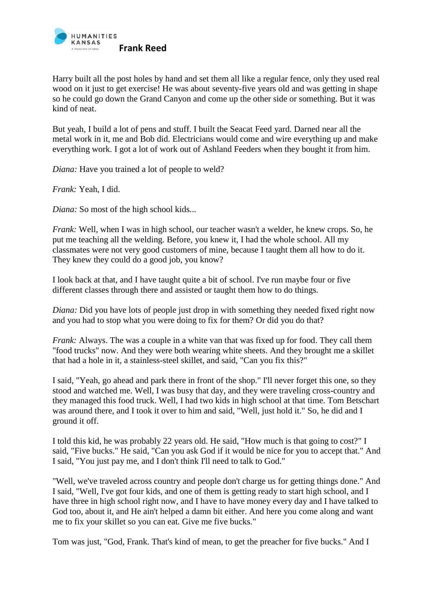

Harry built all the post holes by hand and set them all like a regular fence, only they used real wood on it just to get exercise! He was about seventy-five years old and was getting in shape so he could go down the Grand Canyon and come up the other side or something. But it was kind of neat.

But yeah, I build a lot of pens and stuff. I built the Seacat Feed yard. Darned near all the metal work in it, me and Bob did. Electricians would come and wire everything up and make everything work. I got a lot of work out of Ashland Feeders when they bought it from him.

*Diana:* Have you trained a lot of people to weld?

*Frank:* Yeah, I did.

*Diana:* So most of the high school kids...

*Frank:* Well, when I was in high school, our teacher wasn't a welder, he knew crops. So, he put me teaching all the welding. Before, you knew it, I had the whole school. All my classmates were not very good customers of mine, because I taught them all how to do it. They knew they could do a good job, you know?

I look back at that, and I have taught quite a bit of school. I've run maybe four or five different classes through there and assisted or taught them how to do things.

*Diana:* Did you have lots of people just drop in with something they needed fixed right now and you had to stop what you were doing to fix for them? Or did you do that?

*Frank:* Always. The was a couple in a white van that was fixed up for food. They call them "food trucks" now. And they were both wearing white sheets. And they brought me a skillet that had a hole in it, a stainless-steel skillet, and said, "Can you fix this?"

I said, "Yeah, go ahead and park there in front of the shop." I'll never forget this one, so they stood and watched me. Well, I was busy that day, and they were traveling cross-country and they managed this food truck. Well, I had two kids in high school at that time. Tom Betschart was around there, and I took it over to him and said, "Well, just hold it." So, he did and I ground it off.

I told this kid, he was probably 22 years old. He said, "How much is that going to cost?" I said, "Five bucks." He said, "Can you ask God if it would be nice for you to accept that." And I said, "You just pay me, and I don't think I'll need to talk to God."

"Well, we've traveled across country and people don't charge us for getting things done." And I said, "Well, I've got four kids, and one of them is getting ready to start high school, and I have three in high school right now, and I have to have money every day and I have talked to God too, about it, and He ain't helped a damn bit either. And here you come along and want me to fix your skillet so you can eat. Give me five bucks."

Tom was just, "God, Frank. That's kind of mean, to get the preacher for five bucks." And I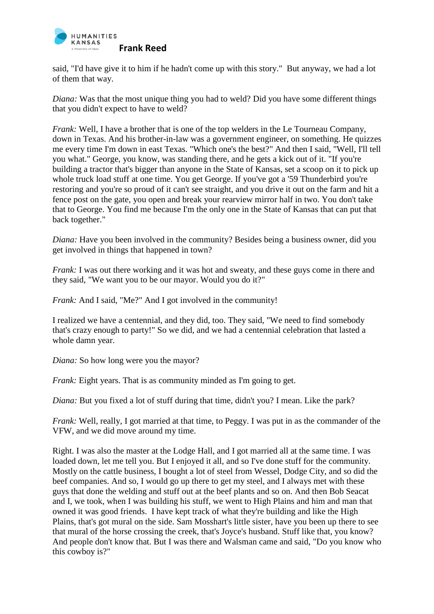

said, "I'd have give it to him if he hadn't come up with this story." But anyway, we had a lot of them that way.

*Diana:* Was that the most unique thing you had to weld? Did you have some different things that you didn't expect to have to weld?

*Frank:* Well, I have a brother that is one of the top welders in the Le Tourneau Company, down in Texas. And his brother-in-law was a government engineer, on something. He quizzes me every time I'm down in east Texas. "Which one's the best?" And then I said, "Well, I'll tell you what." George, you know, was standing there, and he gets a kick out of it. "If you're building a tractor that's bigger than anyone in the State of Kansas, set a scoop on it to pick up whole truck load stuff at one time. You get George. If you've got a '59 Thunderbird you're restoring and you're so proud of it can't see straight, and you drive it out on the farm and hit a fence post on the gate, you open and break your rearview mirror half in two. You don't take that to George. You find me because I'm the only one in the State of Kansas that can put that back together."

*Diana:* Have you been involved in the community? Besides being a business owner, did you get involved in things that happened in town?

*Frank:* I was out there working and it was hot and sweaty, and these guys come in there and they said, "We want you to be our mayor. Would you do it?"

*Frank:* And I said, "Me?" And I got involved in the community!

I realized we have a centennial, and they did, too. They said, "We need to find somebody that's crazy enough to party!" So we did, and we had a centennial celebration that lasted a whole damn year.

*Diana:* So how long were you the mayor?

*Frank:* Eight years. That is as community minded as I'm going to get.

*Diana*: But you fixed a lot of stuff during that time, didn't you? I mean. Like the park?

*Frank:* Well, really, I got married at that time, to Peggy. I was put in as the commander of the VFW, and we did move around my time.

Right. I was also the master at the Lodge Hall, and I got married all at the same time. I was loaded down, let me tell you. But I enjoyed it all, and so I've done stuff for the community. Mostly on the cattle business, I bought a lot of steel from Wessel, Dodge City, and so did the beef companies. And so, I would go up there to get my steel, and I always met with these guys that done the welding and stuff out at the beef plants and so on. And then Bob Seacat and I, we took, when I was building his stuff, we went to High Plains and him and man that owned it was good friends. I have kept track of what they're building and like the High Plains, that's got mural on the side. Sam Mosshart's little sister, have you been up there to see that mural of the horse crossing the creek, that's Joyce's husband. Stuff like that, you know? And people don't know that. But I was there and Walsman came and said, "Do you know who this cowboy is?"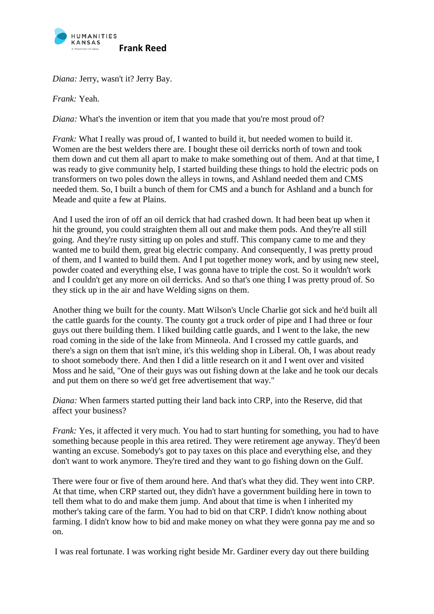

*Diana:* Jerry, wasn't it? Jerry Bay.

*Frank:* Yeah.

*Diana:* What's the invention or item that you made that you're most proud of?

*Frank:* What I really was proud of, I wanted to build it, but needed women to build it. Women are the best welders there are. I bought these oil derricks north of town and took them down and cut them all apart to make to make something out of them. And at that time, I was ready to give community help, I started building these things to hold the electric pods on transformers on two poles down the alleys in towns, and Ashland needed them and CMS needed them. So, I built a bunch of them for CMS and a bunch for Ashland and a bunch for Meade and quite a few at Plains.

And I used the iron of off an oil derrick that had crashed down. It had been beat up when it hit the ground, you could straighten them all out and make them pods. And they're all still going. And they're rusty sitting up on poles and stuff. This company came to me and they wanted me to build them, great big electric company. And consequently, I was pretty proud of them, and I wanted to build them. And I put together money work, and by using new steel, powder coated and everything else, I was gonna have to triple the cost. So it wouldn't work and I couldn't get any more on oil derricks. And so that's one thing I was pretty proud of. So they stick up in the air and have Welding signs on them.

Another thing we built for the county. Matt Wilson's Uncle Charlie got sick and he'd built all the cattle guards for the county. The county got a truck order of pipe and I had three or four guys out there building them. I liked building cattle guards, and I went to the lake, the new road coming in the side of the lake from Minneola. And I crossed my cattle guards, and there's a sign on them that isn't mine, it's this welding shop in Liberal. Oh, I was about ready to shoot somebody there. And then I did a little research on it and I went over and visited Moss and he said, "One of their guys was out fishing down at the lake and he took our decals and put them on there so we'd get free advertisement that way."

*Diana:* When farmers started putting their land back into CRP, into the Reserve, did that affect your business?

*Frank:* Yes, it affected it very much. You had to start hunting for something, you had to have something because people in this area retired. They were retirement age anyway. They'd been wanting an excuse. Somebody's got to pay taxes on this place and everything else, and they don't want to work anymore. They're tired and they want to go fishing down on the Gulf.

There were four or five of them around here. And that's what they did. They went into CRP. At that time, when CRP started out, they didn't have a government building here in town to tell them what to do and make them jump. And about that time is when I inherited my mother's taking care of the farm. You had to bid on that CRP. I didn't know nothing about farming. I didn't know how to bid and make money on what they were gonna pay me and so on.

I was real fortunate. I was working right beside Mr. Gardiner every day out there building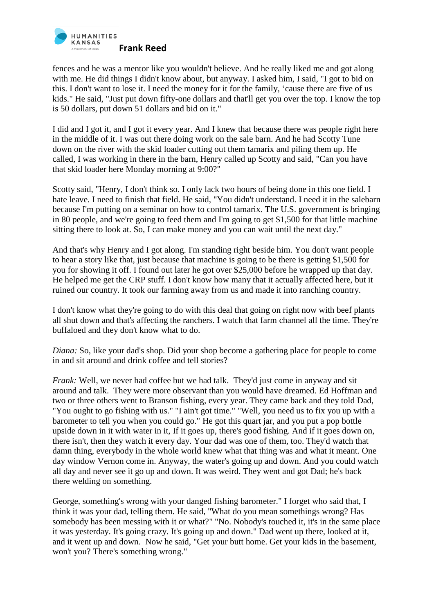

fences and he was a mentor like you wouldn't believe. And he really liked me and got along with me. He did things I didn't know about, but anyway. I asked him, I said, "I got to bid on this. I don't want to lose it. I need the money for it for the family, 'cause there are five of us kids." He said, "Just put down fifty-one dollars and that'll get you over the top. I know the top is 50 dollars, put down 51 dollars and bid on it."

I did and I got it, and I got it every year. And I knew that because there was people right here in the middle of it. I was out there doing work on the sale barn. And he had Scotty Tune down on the river with the skid loader cutting out them tamarix and piling them up. He called, I was working in there in the barn, Henry called up Scotty and said, "Can you have that skid loader here Monday morning at 9:00?"

Scotty said, "Henry, I don't think so. I only lack two hours of being done in this one field. I hate leave. I need to finish that field. He said, "You didn't understand. I need it in the salebarn because I'm putting on a seminar on how to control tamarix. The U.S. government is bringing in 80 people, and we're going to feed them and I'm going to get \$1,500 for that little machine sitting there to look at. So, I can make money and you can wait until the next day."

And that's why Henry and I got along. I'm standing right beside him. You don't want people to hear a story like that, just because that machine is going to be there is getting \$1,500 for you for showing it off. I found out later he got over \$25,000 before he wrapped up that day. He helped me get the CRP stuff. I don't know how many that it actually affected here, but it ruined our country. It took our farming away from us and made it into ranching country.

I don't know what they're going to do with this deal that going on right now with beef plants all shut down and that's affecting the ranchers. I watch that farm channel all the time. They're buffaloed and they don't know what to do.

*Diana:* So, like your dad's shop. Did your shop become a gathering place for people to come in and sit around and drink coffee and tell stories?

*Frank:* Well, we never had coffee but we had talk. They'd just come in anyway and sit around and talk. They were more observant than you would have dreamed. Ed Hoffman and two or three others went to Branson fishing, every year. They came back and they told Dad, "You ought to go fishing with us." "I ain't got time." "Well, you need us to fix you up with a barometer to tell you when you could go." He got this quart jar, and you put a pop bottle upside down in it with water in it, If it goes up, there's good fishing. And if it goes down on, there isn't, then they watch it every day. Your dad was one of them, too. They'd watch that damn thing, everybody in the whole world knew what that thing was and what it meant. One day window Vernon come in. Anyway, the water's going up and down. And you could watch all day and never see it go up and down. It was weird. They went and got Dad; he's back there welding on something.

George, something's wrong with your danged fishing barometer." I forget who said that, I think it was your dad, telling them. He said, "What do you mean somethings wrong? Has somebody has been messing with it or what?" "No. Nobody's touched it, it's in the same place it was yesterday. It's going crazy. It's going up and down." Dad went up there, looked at it, and it went up and down. Now he said, "Get your butt home. Get your kids in the basement, won't you? There's something wrong."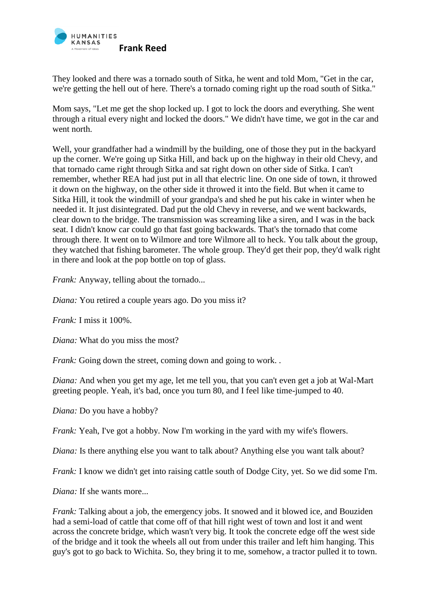

They looked and there was a tornado south of Sitka, he went and told Mom, "Get in the car, we're getting the hell out of here. There's a tornado coming right up the road south of Sitka."

Mom says, "Let me get the shop locked up. I got to lock the doors and everything. She went through a ritual every night and locked the doors." We didn't have time, we got in the car and went north.

Well, your grandfather had a windmill by the building, one of those they put in the backyard up the corner. We're going up Sitka Hill, and back up on the highway in their old Chevy, and that tornado came right through Sitka and sat right down on other side of Sitka. I can't remember, whether REA had just put in all that electric line. On one side of town, it throwed it down on the highway, on the other side it throwed it into the field. But when it came to Sitka Hill, it took the windmill of your grandpa's and shed he put his cake in winter when he needed it. It just disintegrated. Dad put the old Chevy in reverse, and we went backwards, clear down to the bridge. The transmission was screaming like a siren, and I was in the back seat. I didn't know car could go that fast going backwards. That's the tornado that come through there. It went on to Wilmore and tore Wilmore all to heck. You talk about the group, they watched that fishing barometer. The whole group. They'd get their pop, they'd walk right in there and look at the pop bottle on top of glass.

*Frank:* Anyway, telling about the tornado...

*Diana:* You retired a couple years ago. Do you miss it?

*Frank:* I miss it 100%.

*Diana:* What do you miss the most?

*Frank:* Going down the street, coming down and going to work...

*Diana:* And when you get my age, let me tell you, that you can't even get a job at Wal-Mart greeting people. Yeah, it's bad, once you turn 80, and I feel like time-jumped to 40.

*Diana:* Do you have a hobby?

*Frank: Yeah, I've got a hobby. Now I'm working in the yard with my wife's flowers.* 

*Diana:* Is there anything else you want to talk about? Anything else you want talk about?

*Frank:* I know we didn't get into raising cattle south of Dodge City, yet. So we did some I'm.

*Diana:* If she wants more...

*Frank:* Talking about a job, the emergency jobs. It snowed and it blowed ice, and Bouziden had a semi-load of cattle that come off of that hill right west of town and lost it and went across the concrete bridge, which wasn't very big. It took the concrete edge off the west side of the bridge and it took the wheels all out from under this trailer and left him hanging. This guy's got to go back to Wichita. So, they bring it to me, somehow, a tractor pulled it to town.